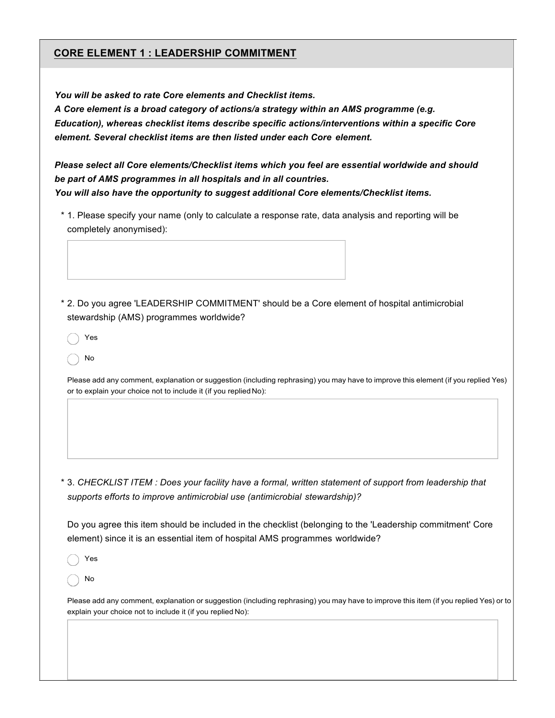## **CORE ELEMENT 1 : LEADERSHIP COMMITMENT**

*You will be asked to rate Core elements and Checklist items. A Core element is a broad category of actions/a strategy within an AMS programme (e.g. Education), whereas checklist items describe specific actions/interventions within a specific Core element. Several checklist items are then listed under each Core element.*

*Please select all Core elements/Checklist items which you feel are essential worldwide and should be part of AMS programmes in all hospitals and in all countries. You will also have the opportunity to suggest additional Core elements/Checklist items.*

- \* 1. Please specify your name (only to calculate a response rate, data analysis and reporting will be completely anonymised):
- \* 2. Do you agree 'LEADERSHIP COMMITMENT' should be a Core element of hospital antimicrobial stewardship (AMS) programmes worldwide?

Yes

No

Please add any comment, explanation or suggestion (including rephrasing) you may have to improve this element (if you replied Yes) or to explain your choice not to include it (if you replied No):

\* 3. *CHECKLIST ITEM : Does your facility have a formal, written statement of support from leadership that supports efforts to improve antimicrobial use (antimicrobial stewardship)?*

Do you agree this item should be included in the checklist (belonging to the 'Leadership commitment' Core element) since it is an essential item of hospital AMS programmes worldwide?

Yes

No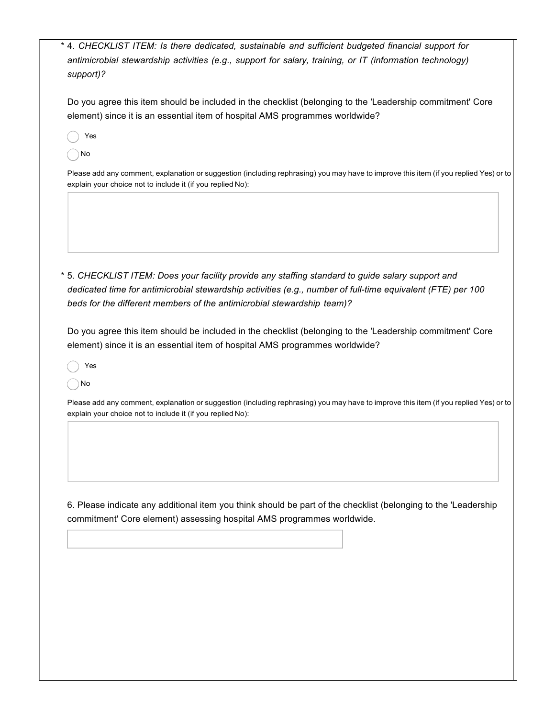| support)? | * 4. CHECKLIST ITEM: Is there dedicated, sustainable and sufficient budgeted financial support for<br>antimicrobial stewardship activities (e.g., support for salary, training, or IT (information technology)                                                                                     |
|-----------|----------------------------------------------------------------------------------------------------------------------------------------------------------------------------------------------------------------------------------------------------------------------------------------------------|
|           | Do you agree this item should be included in the checklist (belonging to the 'Leadership commitment' Core<br>element) since it is an essential item of hospital AMS programmes worldwide?                                                                                                          |
| Yes       |                                                                                                                                                                                                                                                                                                    |
| No        |                                                                                                                                                                                                                                                                                                    |
|           | Please add any comment, explanation or suggestion (including rephrasing) you may have to improve this item (if you replied Yes) or to<br>explain your choice not to include it (if you replied No):                                                                                                |
|           |                                                                                                                                                                                                                                                                                                    |
|           | * 5. CHECKLIST ITEM: Does your facility provide any staffing standard to guide salary support and                                                                                                                                                                                                  |
|           | dedicated time for antimicrobial stewardship activities (e.g., number of full-time equivalent (FTE) per 100<br>beds for the different members of the antimicrobial stewardship team)?<br>Do you agree this item should be included in the checklist (belonging to the 'Leadership commitment' Core |
|           | element) since it is an essential item of hospital AMS programmes worldwide?                                                                                                                                                                                                                       |
| Yes       |                                                                                                                                                                                                                                                                                                    |
| No        | Please add any comment, explanation or suggestion (including rephrasing) you may have to improve this item (if you replied Yes) or to<br>explain your choice not to include it (if you replied No):                                                                                                |
|           |                                                                                                                                                                                                                                                                                                    |
|           |                                                                                                                                                                                                                                                                                                    |
|           | 6. Please indicate any additional item you think should be part of the checklist (belonging to the 'Leadership<br>commitment' Core element) assessing hospital AMS programmes worldwide.                                                                                                           |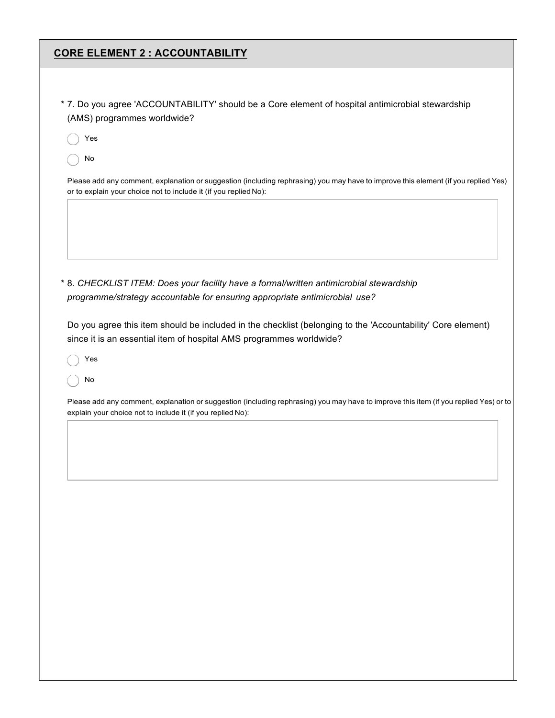|                             | <b>CORE ELEMENT 2 : ACCOUNTABILITY</b>                                                                                                                                                                 |
|-----------------------------|--------------------------------------------------------------------------------------------------------------------------------------------------------------------------------------------------------|
|                             |                                                                                                                                                                                                        |
| (AMS) programmes worldwide? | * 7. Do you agree 'ACCOUNTABILITY' should be a Core element of hospital antimicrobial stewardship                                                                                                      |
| Yes                         |                                                                                                                                                                                                        |
| No                          |                                                                                                                                                                                                        |
|                             | Please add any comment, explanation or suggestion (including rephrasing) you may have to improve this element (if you replied Yes)<br>or to explain your choice not to include it (if you replied No): |
|                             |                                                                                                                                                                                                        |
|                             |                                                                                                                                                                                                        |
|                             |                                                                                                                                                                                                        |
|                             |                                                                                                                                                                                                        |
|                             | * 8. CHECKLIST ITEM: Does your facility have a formal/written antimicrobial stewardship<br>programme/strategy accountable for ensuring appropriate antimicrobial use?                                  |
|                             | Do you agree this item should be included in the checklist (belonging to the 'Accountability' Core element)                                                                                            |
|                             | since it is an essential item of hospital AMS programmes worldwide?                                                                                                                                    |
| Yes                         |                                                                                                                                                                                                        |
| No                          |                                                                                                                                                                                                        |
|                             | Please add any comment, explanation or suggestion (including rephrasing) you may have to improve this item (if you replied Yes) or to<br>explain your choice not to include it (if you replied No):    |
|                             |                                                                                                                                                                                                        |
|                             |                                                                                                                                                                                                        |
|                             |                                                                                                                                                                                                        |
|                             |                                                                                                                                                                                                        |
|                             |                                                                                                                                                                                                        |
|                             |                                                                                                                                                                                                        |
|                             |                                                                                                                                                                                                        |
|                             |                                                                                                                                                                                                        |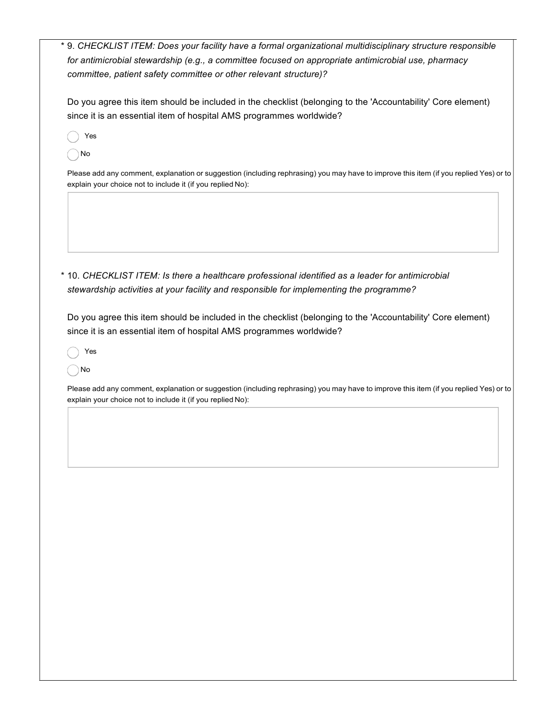| * 9. CHECKLIST ITEM: Does your facility have a formal organizational multidisciplinary structure responsible |
|--------------------------------------------------------------------------------------------------------------|
| for antimicrobial stewardship (e.g., a committee focused on appropriate antimicrobial use, pharmacy          |
| committee, patient safety committee or other relevant structure)?                                            |

Do you agree this item should be included in the checklist (belonging to the 'Accountability' Core element) since it is an essential item of hospital AMS programmes worldwide?

Yes

No

Please add any comment, explanation or suggestion (including rephrasing) you may have to improve this item (if you replied Yes) or to explain your choice not to include it (if you replied No):

\* 10. *CHECKLIST ITEM: Is there a healthcare professional identified as a leader for antimicrobial stewardship activities at your facility and responsible for implementing the programme?*

Do you agree this item should be included in the checklist (belonging to the 'Accountability' Core element) since it is an essential item of hospital AMS programmes worldwide?

Yes

No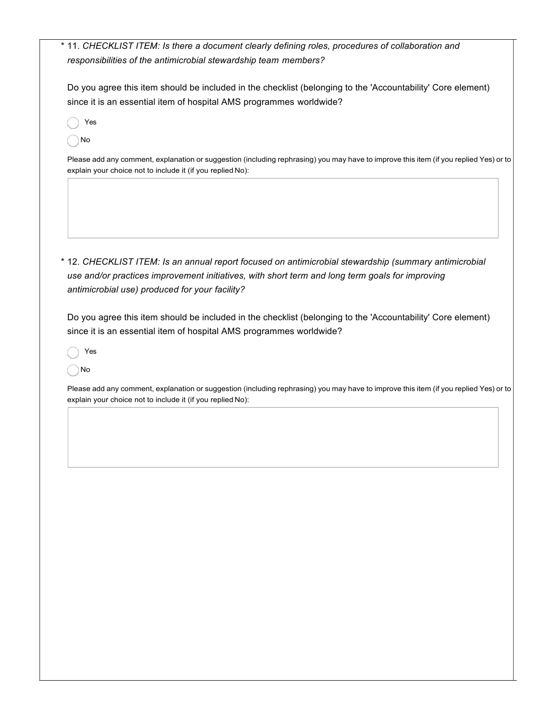\* 11. *CHECKLIST ITEM: Is there a document clearly defining roles, procedures of collaboration and responsibilities of the antimicrobial stewardship team members?*

Do you agree this item should be included in the checklist (belonging to the 'Accountability' Core element) since it is an essential item of hospital AMS programmes worldwide?

Yes

No

Please add any comment, explanation or suggestion (including rephrasing) you may have to improve this item (if you replied Yes) or to explain your choice not to include it (if you replied No):

\* 12. *CHECKLIST ITEM: Is an annual report focused on antimicrobial stewardship (summary antimicrobial use and/or practices improvement initiatives, with short term and long term goals for improving antimicrobial use) produced for your facility?*

Do you agree this item should be included in the checklist (belonging to the 'Accountability' Core element) since it is an essential item of hospital AMS programmes worldwide?

Yes

No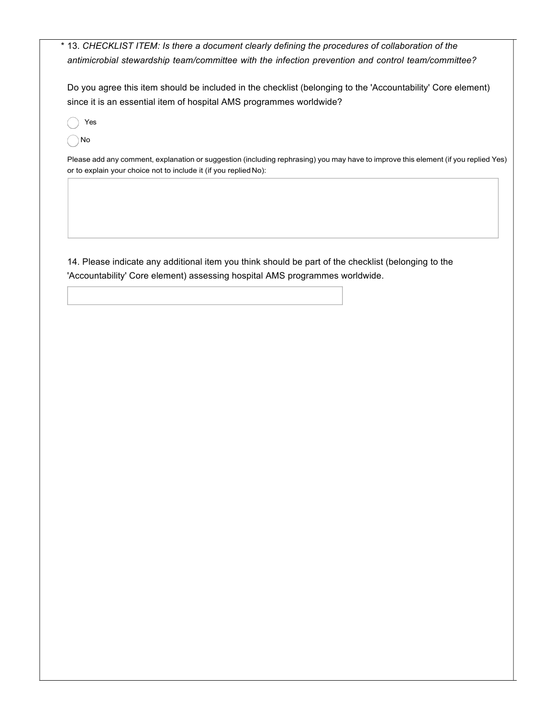\* 13. *CHECKLIST ITEM: Is there a document clearly defining the procedures of collaboration of the antimicrobial stewardship team/committee with the infection prevention and control team/committee?*

Do you agree this item should be included in the checklist (belonging to the 'Accountability' Core element) since it is an essential item of hospital AMS programmes worldwide?

Yes

No

Please add any comment, explanation or suggestion (including rephrasing) you may have to improve this element (if you replied Yes) or to explain your choice not to include it (if you replied No):

14. Please indicate any additional item you think should be part of the checklist (belonging to the 'Accountability' Core element) assessing hospital AMS programmes worldwide.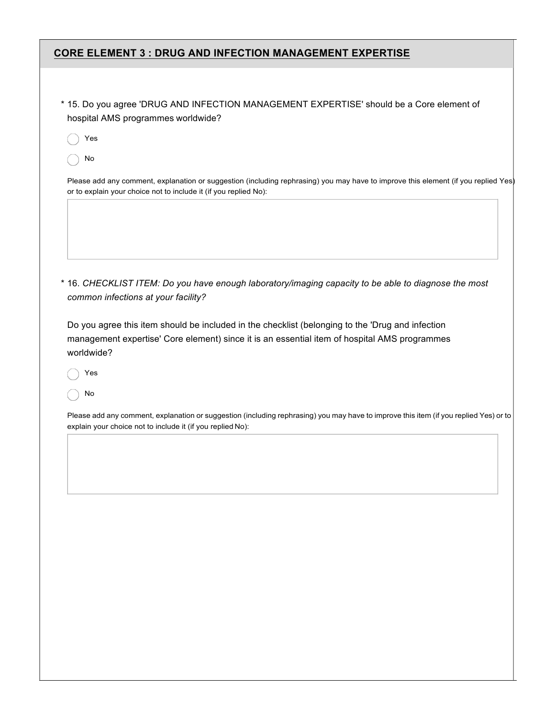| CORE ELEMENT 3 : DRUG AND INFECTION MANAGEMENT EXPERTISE |
|----------------------------------------------------------|
|----------------------------------------------------------|

\* 15. Do you agree 'DRUG AND INFECTION MANAGEMENT EXPERTISE' should be a Core element of hospital AMS programmes worldwide?

Yes

No

Please add any comment, explanation or suggestion (including rephrasing) you may have to improve this element (if you replied Yes) or to explain your choice not to include it (if you replied No):

\* 16. *CHECKLIST ITEM: Do you have enough laboratory/imaging capacity to be able to diagnose the most common infections at your facility?*

Do you agree this item should be included in the checklist (belonging to the 'Drug and infection management expertise' Core element) since it is an essential item of hospital AMS programmes worldwide?

Yes

No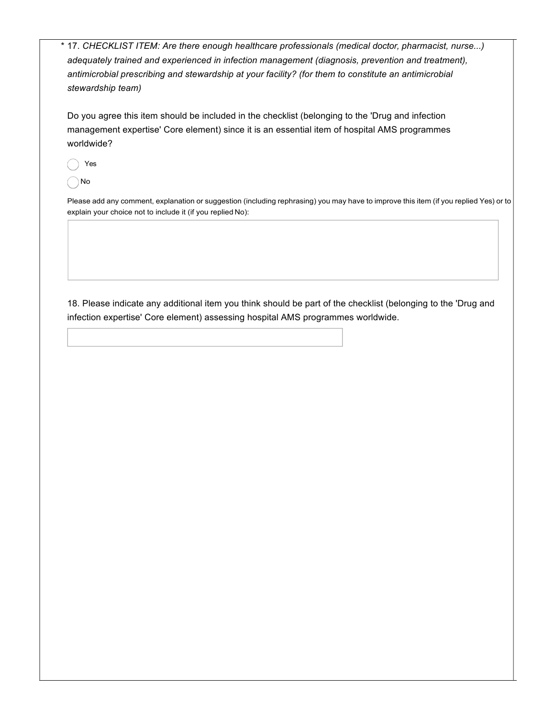\* 17. *CHECKLIST ITEM: Are there enough healthcare professionals (medical doctor, pharmacist, nurse...) adequately trained and experienced in infection management (diagnosis, prevention and treatment), antimicrobial prescribing and stewardship at your facility? (for them to constitute an antimicrobial stewardship team)*

Do you agree this item should be included in the checklist (belonging to the 'Drug and infection management expertise' Core element) since it is an essential item of hospital AMS programmes worldwide?

Yes

No

Please add any comment, explanation or suggestion (including rephrasing) you may have to improve this item (if you replied Yes) or to explain your choice not to include it (if you replied No):

18. Please indicate any additional item you think should be part of the checklist (belonging to the 'Drug and infection expertise' Core element) assessing hospital AMS programmes worldwide.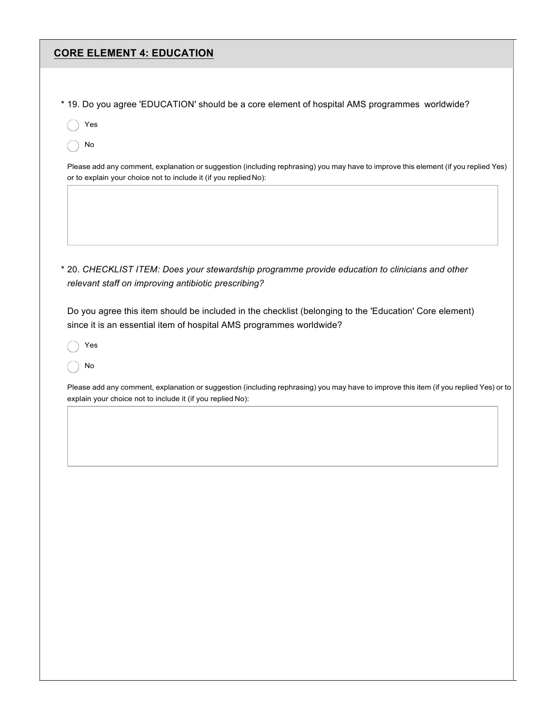## **CORE ELEMENT 4: EDUCATION**

\* 19. Do you agree 'EDUCATION' should be a core element of hospital AMS programmes worldwide?

Yes

No

Please add any comment, explanation or suggestion (including rephrasing) you may have to improve this element (if you replied Yes) or to explain your choice not to include it (if you replied No):

\* 20. *CHECKLIST ITEM: Does your stewardship programme provide education to clinicians and other relevant staff on improving antibiotic prescribing?*

Do you agree this item should be included in the checklist (belonging to the 'Education' Core element) since it is an essential item of hospital AMS programmes worldwide?

Yes

No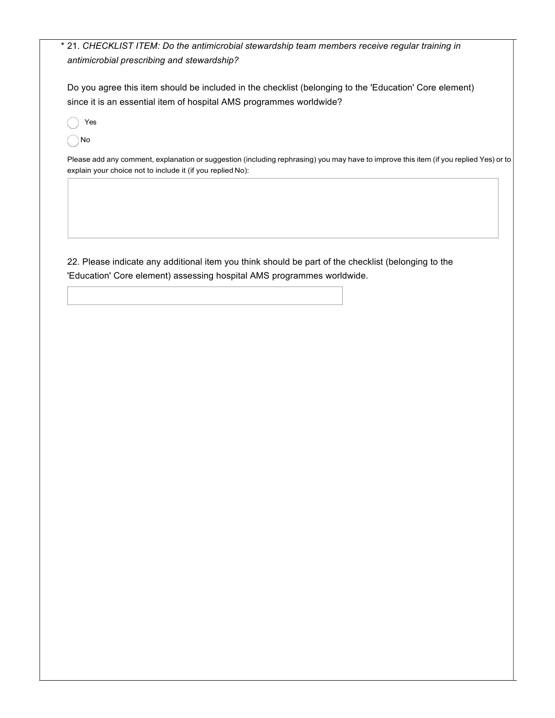\* 21. *CHECKLIST ITEM: Do the antimicrobial stewardship team members receive regular training in antimicrobial prescribing and stewardship?*

Do you agree this item should be included in the checklist (belonging to the 'Education' Core element) since it is an essential item of hospital AMS programmes worldwide?

Yes

No

Please add any comment, explanation or suggestion (including rephrasing) you may have to improve this item (if you replied Yes) or to explain your choice not to include it (if you replied No):

22. Please indicate any additional item you think should be part of the checklist (belonging to the 'Education' Core element) assessing hospital AMS programmes worldwide.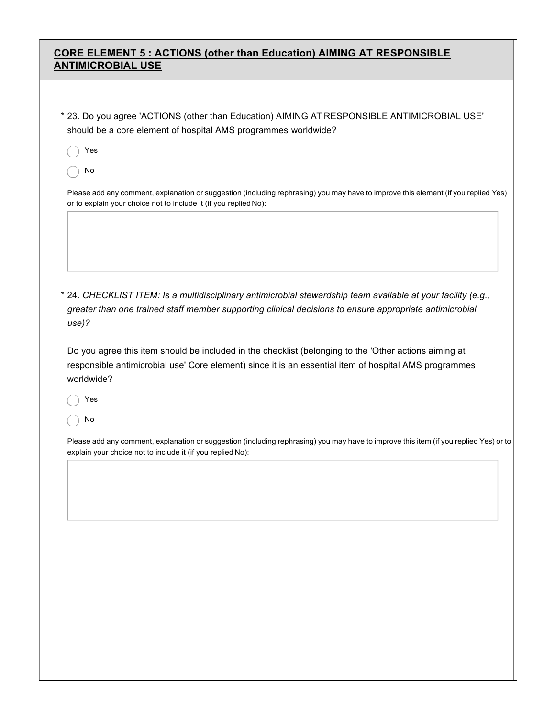## **CORE ELEMENT 5 : ACTIONS (other than Education) AIMING AT RESPONSIBLE ANTIMICROBIAL USE**

\* 23. Do you agree 'ACTIONS (other than Education) AIMING AT RESPONSIBLE ANTIMICROBIAL USE' should be a core element of hospital AMS programmes worldwide?

Yes

No

Please add any comment, explanation or suggestion (including rephrasing) you may have to improve this element (if you replied Yes) or to explain your choice not to include it (if you replied No):

\* 24. *CHECKLIST ITEM: Is a multidisciplinary antimicrobial stewardship team available at your facility (e.g., greater than one trained staff member supporting clinical decisions to ensure appropriate antimicrobial use)?*

Do you agree this item should be included in the checklist (belonging to the 'Other actions aiming at responsible antimicrobial use' Core element) since it is an essential item of hospital AMS programmes worldwide?

Yes

No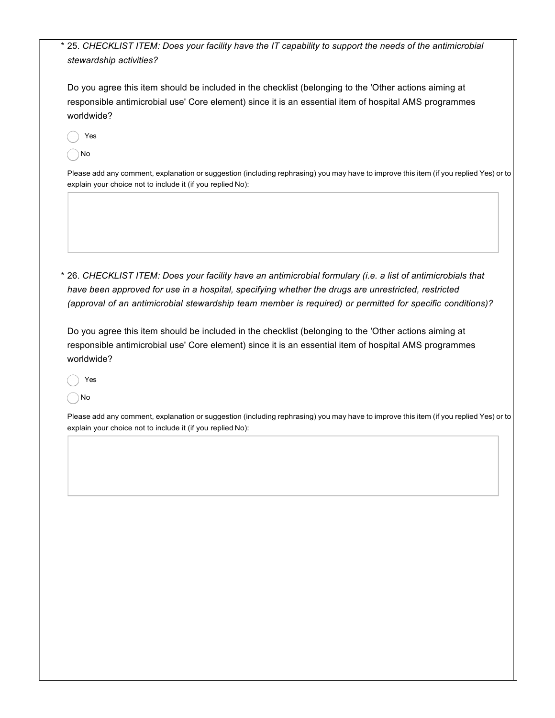\* 25. *CHECKLIST ITEM: Does your facility have the IT capability to support the needs of the antimicrobial stewardship activities?*

Do you agree this item should be included in the checklist (belonging to the 'Other actions aiming at responsible antimicrobial use' Core element) since it is an essential item of hospital AMS programmes worldwide?

Yes

No

Please add any comment, explanation or suggestion (including rephrasing) you may have to improve this item (if you replied Yes) or to explain your choice not to include it (if you replied No):

\* 26. *CHECKLIST ITEM: Does your facility have an antimicrobial formulary (i.e. a list of antimicrobials that*  have been approved for use in a hospital, specifying whether the drugs are unrestricted, restricted *(approval of an antimicrobial stewardship team member is required) or permitted for specific conditions)?*

Do you agree this item should be included in the checklist (belonging to the 'Other actions aiming at responsible antimicrobial use' Core element) since it is an essential item of hospital AMS programmes worldwide?

Yes

No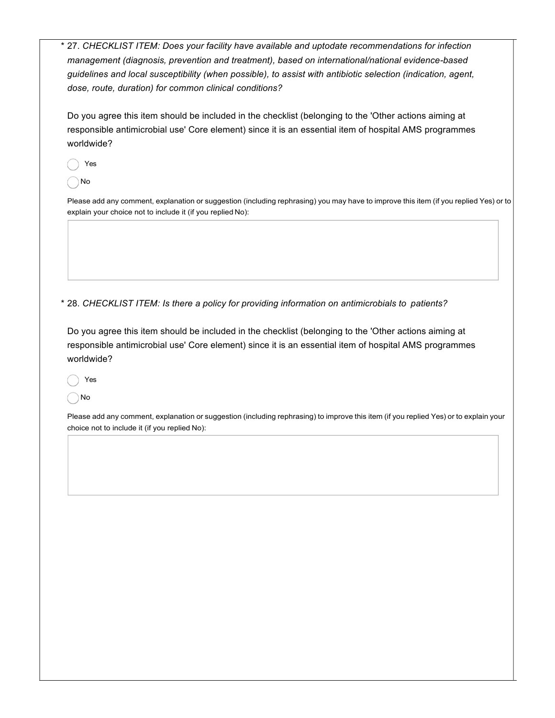\* 27. *CHECKLIST ITEM: Does your facility have available and uptodate recommendations for infection management (diagnosis, prevention and treatment), based on international/national evidence-based guidelines and local susceptibility (when possible), to assist with antibiotic selection (indication, agent, dose, route, duration) for common clinical conditions?*

Do you agree this item should be included in the checklist (belonging to the 'Other actions aiming at responsible antimicrobial use' Core element) since it is an essential item of hospital AMS programmes worldwide?

Yes

No

Please add any comment, explanation or suggestion (including rephrasing) you may have to improve this item (if you replied Yes) or to explain your choice not to include it (if you replied No):

\* 28. *CHECKLIST ITEM: Is there a policy for providing information on antimicrobials to patients?*

Do you agree this item should be included in the checklist (belonging to the 'Other actions aiming at responsible antimicrobial use' Core element) since it is an essential item of hospital AMS programmes worldwide?

Yes

No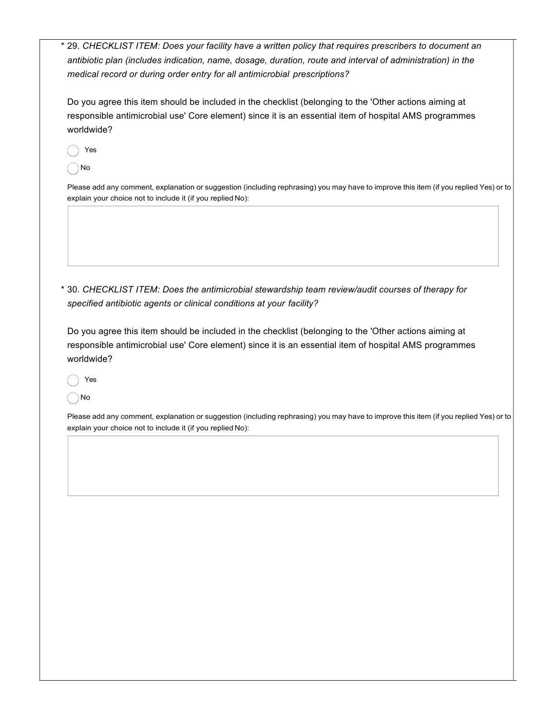\* 29. *CHECKLIST ITEM: Does your facility have a written policy that requires prescribers to document an antibiotic plan (includes indication, name, dosage, duration, route and interval of administration) in the medical record or during order entry for all antimicrobial prescriptions?*

Do you agree this item should be included in the checklist (belonging to the 'Other actions aiming at responsible antimicrobial use' Core element) since it is an essential item of hospital AMS programmes worldwide?

Yes

No

Please add any comment, explanation or suggestion (including rephrasing) you may have to improve this item (if you replied Yes) or to explain your choice not to include it (if you replied No):

\* 30. *CHECKLIST ITEM: Does the antimicrobial stewardship team review/audit courses of therapy for specified antibiotic agents or clinical conditions at your facility?*

Do you agree this item should be included in the checklist (belonging to the 'Other actions aiming at responsible antimicrobial use' Core element) since it is an essential item of hospital AMS programmes worldwide?

Yes

No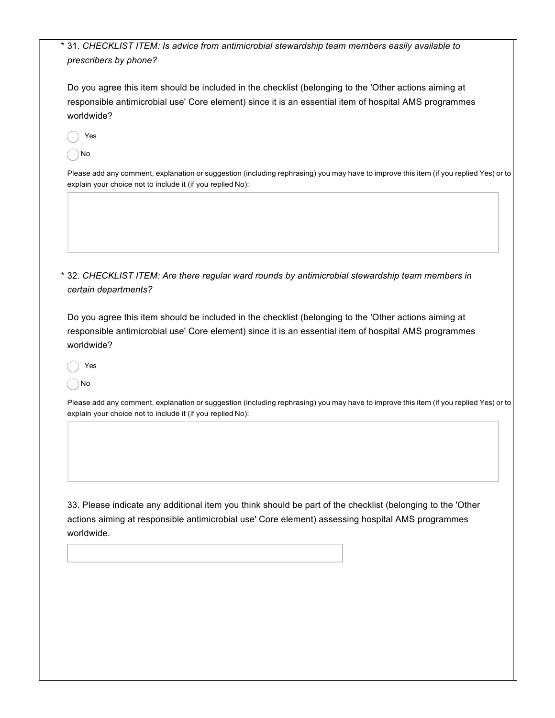\* 31. *CHECKLIST ITEM: Is advice from antimicrobial stewardship team members easily available to prescribers by phone?*

Do you agree this item should be included in the checklist (belonging to the 'Other actions aiming at responsible antimicrobial use' Core element) since it is an essential item of hospital AMS programmes worldwide?

| ۰.<br>× |
|---------|
|         |

No

Please add any comment, explanation or suggestion (including rephrasing) you may have to improve this item (if you replied Yes) or to explain your choice not to include it (if you replied No):

\* 32. *CHECKLIST ITEM: Are there regular ward rounds by antimicrobial stewardship team members in certain departments?*

Do you agree this item should be included in the checklist (belonging to the 'Other actions aiming at responsible antimicrobial use' Core element) since it is an essential item of hospital AMS programmes worldwide?

Yes

No

Please add any comment, explanation or suggestion (including rephrasing) you may have to improve this item (if you replied Yes) or to explain your choice not to include it (if you replied No):

33. Please indicate any additional item you think should be part of the checklist (belonging to the 'Other actions aiming at responsible antimicrobial use' Core element) assessing hospital AMS programmes worldwide.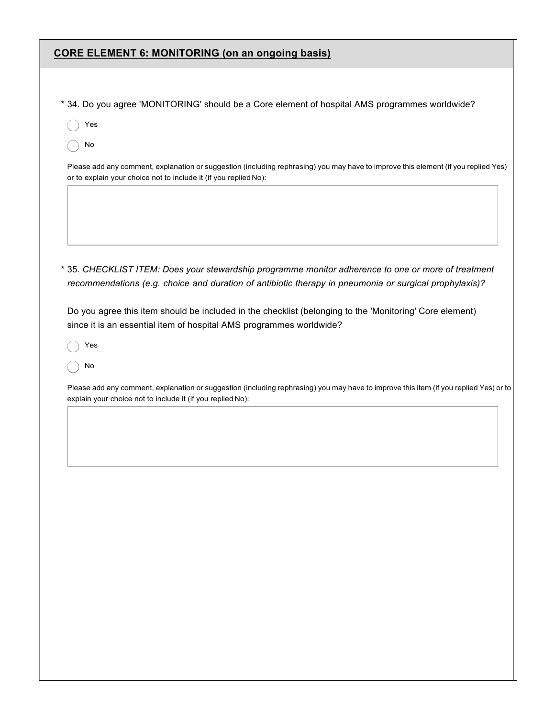|  | <b>CORE ELEMENT 6: MONITORING (on an ongoing basis)</b> |  |  |
|--|---------------------------------------------------------|--|--|
|--|---------------------------------------------------------|--|--|

\* 34. Do you agree 'MONITORING' should be a Core element of hospital AMS programmes worldwide?

Yes

No

Please add any comment, explanation or suggestion (including rephrasing) you may have to improve this element (if you replied Yes) or to explain your choice not to include it (if you replied No):

\* 35. *CHECKLIST ITEM: Does your stewardship programme monitor adherence to one or more of treatment recommendations (e.g. choice and duration of antibiotic therapy in pneumonia or surgical prophylaxis)?*

Do you agree this item should be included in the checklist (belonging to the 'Monitoring' Core element) since it is an essential item of hospital AMS programmes worldwide?

Yes

No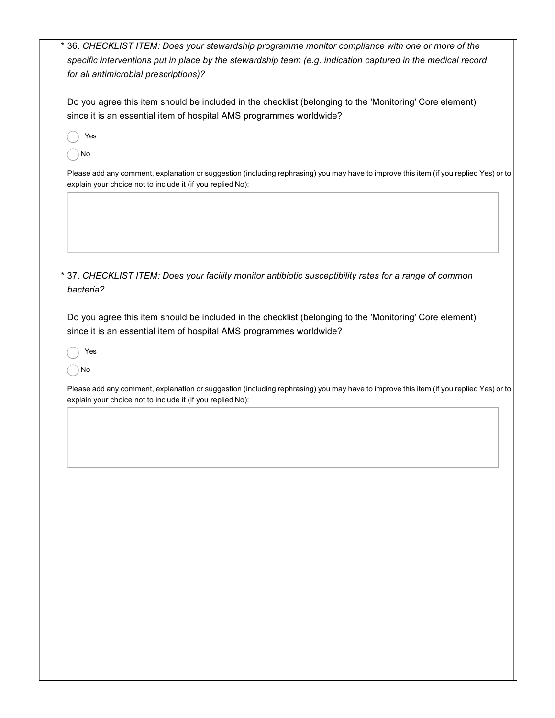\* 36. *CHECKLIST ITEM: Does your stewardship programme monitor compliance with one or more of the specific interventions put in place by the stewardship team (e.g. indication captured in the medical record for all antimicrobial prescriptions)?*

Do you agree this item should be included in the checklist (belonging to the 'Monitoring' Core element) since it is an essential item of hospital AMS programmes worldwide?

Yes

No

Please add any comment, explanation or suggestion (including rephrasing) you may have to improve this item (if you replied Yes) or to explain your choice not to include it (if you replied No):

\* 37. *CHECKLIST ITEM: Does your facility monitor antibiotic susceptibility rates for a range of common bacteria?*

Do you agree this item should be included in the checklist (belonging to the 'Monitoring' Core element) since it is an essential item of hospital AMS programmes worldwide?

Yes

No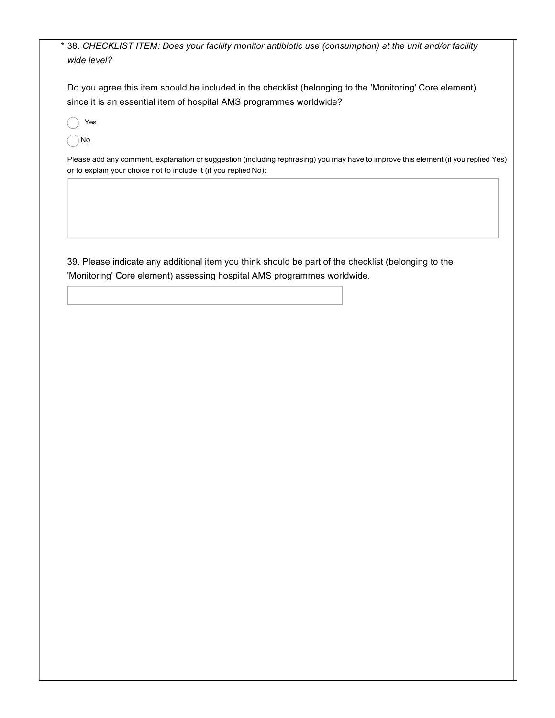\* 38. *CHECKLIST ITEM: Does your facility monitor antibiotic use (consumption) at the unit and/or facility wide level?*

Do you agree this item should be included in the checklist (belonging to the 'Monitoring' Core element) since it is an essential item of hospital AMS programmes worldwide?

Yes

No

Please add any comment, explanation or suggestion (including rephrasing) you may have to improve this element (if you replied Yes) or to explain your choice not to include it (if you replied No):

39. Please indicate any additional item you think should be part of the checklist (belonging to the 'Monitoring' Core element) assessing hospital AMS programmes worldwide.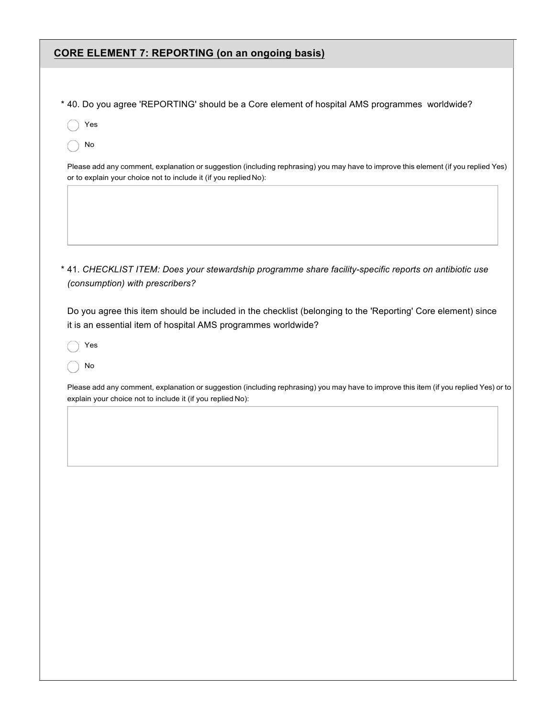| <b>CORE ELEMENT 7: REPORTING (on an ongoing basis)</b> |
|--------------------------------------------------------|
|--------------------------------------------------------|

\* 40. Do you agree 'REPORTING' should be a Core element of hospital AMS programmes worldwide?

Yes

No

Please add any comment, explanation or suggestion (including rephrasing) you may have to improve this element (if you replied Yes) or to explain your choice not to include it (if you replied No):

\* 41. *CHECKLIST ITEM: Does your stewardship programme share facility-specific reports on antibiotic use (consumption) with prescribers?*

Do you agree this item should be included in the checklist (belonging to the 'Reporting' Core element) since it is an essential item of hospital AMS programmes worldwide?

Yes

No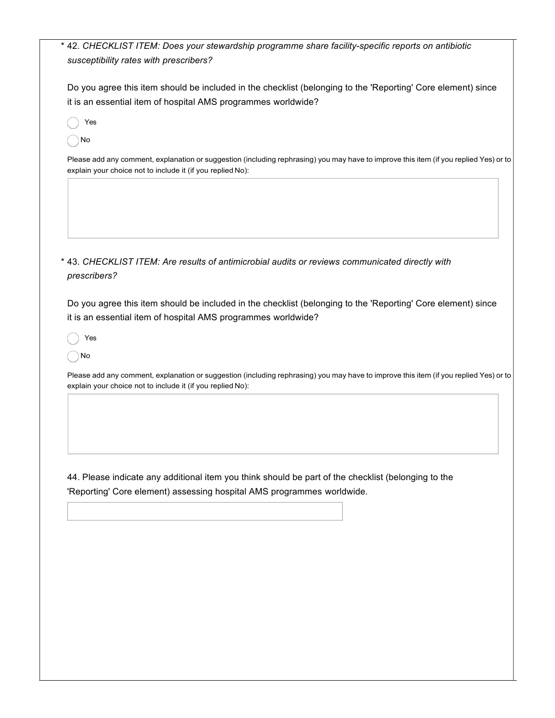| A2. CHECKLIST ITEM: Does your stewardship programme share facility-specific reports on antibiotic * |  |
|-----------------------------------------------------------------------------------------------------|--|
| susceptibility rates with prescribers?                                                              |  |

Do you agree this item should be included in the checklist (belonging to the 'Reporting' Core element) since it is an essential item of hospital AMS programmes worldwide?

Yes

No

Please add any comment, explanation or suggestion (including rephrasing) you may have to improve this item (if you replied Yes) or to explain your choice not to include it (if you replied No):

\* 43. *CHECKLIST ITEM: Are results of antimicrobial audits or reviews communicated directly with prescribers?*

Do you agree this item should be included in the checklist (belonging to the 'Reporting' Core element) since it is an essential item of hospital AMS programmes worldwide?

Yes

No

Please add any comment, explanation or suggestion (including rephrasing) you may have to improve this item (if you replied Yes) or to explain your choice not to include it (if you replied No):

44. Please indicate any additional item you think should be part of the checklist (belonging to the 'Reporting' Core element) assessing hospital AMS programmes worldwide.